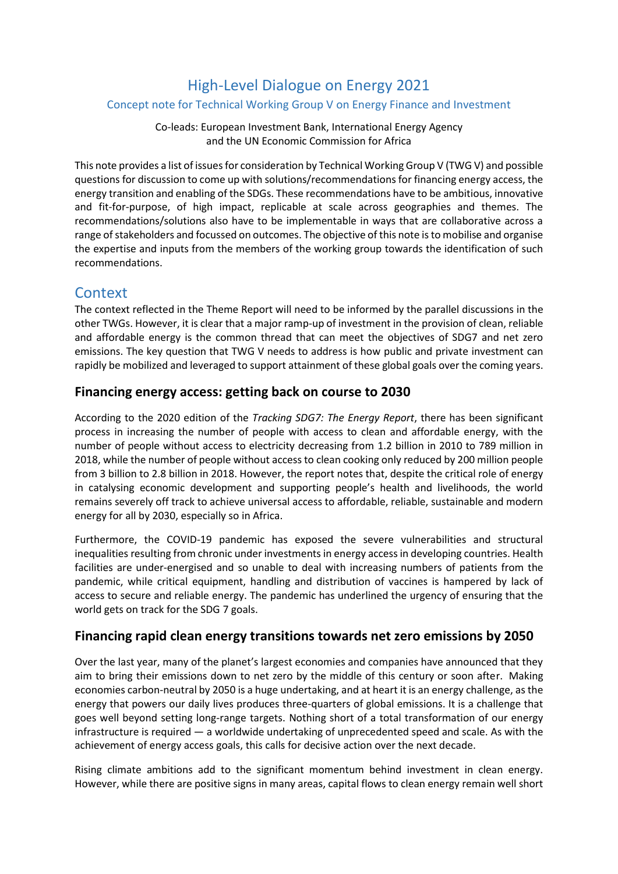# High-Level Dialogue on Energy 2021

#### Concept note for Technical Working Group V on Energy Finance and Investment

Co-leads: European Investment Bank, International Energy Agency and the UN Economic Commission for Africa

This note provides a list of issues for consideration by Technical Working Group V (TWG V) and possible questions for discussion to come up with solutions/recommendations for financing energy access, the energy transition and enabling of the SDGs. These recommendations have to be ambitious, innovative and fit-for-purpose, of high impact, replicable at scale across geographies and themes. The recommendations/solutions also have to be implementable in ways that are collaborative across a range of stakeholders and focussed on outcomes. The objective of this note is to mobilise and organise the expertise and inputs from the members of the working group towards the identification of such recommendations.

## **Context**

The context reflected in the Theme Report will need to be informed by the parallel discussions in the other TWGs. However, it is clear that a major ramp-up of investment in the provision of clean, reliable and affordable energy is the common thread that can meet the objectives of SDG7 and net zero emissions. The key question that TWG V needs to address is how public and private investment can rapidly be mobilized and leveraged to support attainment of these global goals over the coming years.

## **Financing energy access: getting back on course to 2030**

According to the 2020 edition of the *Tracking SDG7: The Energy Report*, there has been significant process in increasing the number of people with access to clean and affordable energy, with the number of people without access to electricity decreasing from 1.2 billion in 2010 to 789 million in 2018, while the number of people without access to clean cooking only reduced by 200 million people from 3 billion to 2.8 billion in 2018. However, the report notes that, despite the critical role of energy in catalysing economic development and supporting people's health and livelihoods, the world remains severely off track to achieve universal access to affordable, reliable, sustainable and modern energy for all by 2030, especially so in Africa.

Furthermore, the COVID-19 pandemic has exposed the severe vulnerabilities and structural inequalities resulting from chronic under investments in energy access in developing countries. Health facilities are under-energised and so unable to deal with increasing numbers of patients from the pandemic, while critical equipment, handling and distribution of vaccines is hampered by lack of access to secure and reliable energy. The pandemic has underlined the urgency of ensuring that the world gets on track for the SDG 7 goals.

## **Financing rapid clean energy transitions towards net zero emissions by 2050**

Over the last year, many of the planet's largest economies and companies have announced that they aim to bring their emissions down to net zero by the middle of this century or soon after. Making economies carbon-neutral by 2050 is a huge undertaking, and at heart it is an energy challenge, as the energy that powers our daily lives produces three-quarters of global emissions. It is a challenge that goes well beyond setting long-range targets. Nothing short of a total transformation of our energy infrastructure is required — a worldwide undertaking of unprecedented speed and scale. As with the achievement of energy access goals, this calls for decisive action over the next decade.

Rising climate ambitions add to the significant momentum behind investment in clean energy. However, while there are positive signs in many areas, capital flows to clean energy remain well short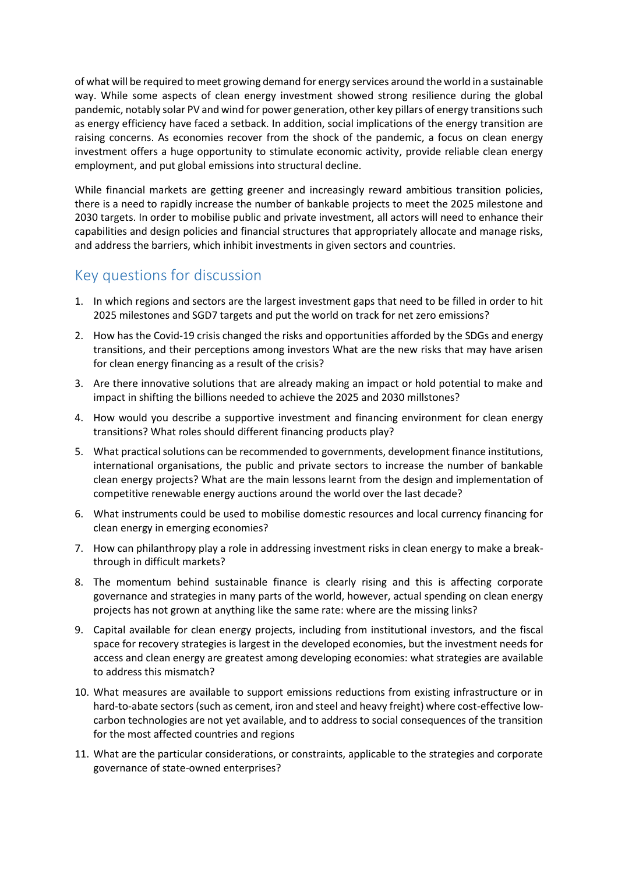of what will be required to meet growing demand for energy services around the world in a sustainable way. While some aspects of clean energy investment showed strong resilience during the global pandemic, notably solar PV and wind for power generation, other key pillars of energy transitions such as energy efficiency have faced a setback. In addition, social implications of the energy transition are raising concerns. As economies recover from the shock of the pandemic, a focus on clean energy investment offers a huge opportunity to stimulate economic activity, provide reliable clean energy employment, and put global emissions into structural decline.

While financial markets are getting greener and increasingly reward ambitious transition policies, there is a need to rapidly increase the number of bankable projects to meet the 2025 milestone and 2030 targets. In order to mobilise public and private investment, all actors will need to enhance their capabilities and design policies and financial structures that appropriately allocate and manage risks, and address the barriers, which inhibit investments in given sectors and countries.

## Key questions for discussion

- 1. In which regions and sectors are the largest investment gaps that need to be filled in order to hit 2025 milestones and SGD7 targets and put the world on track for net zero emissions?
- 2. How has the Covid-19 crisis changed the risks and opportunities afforded by the SDGs and energy transitions, and their perceptions among investors What are the new risks that may have arisen for clean energy financing as a result of the crisis?
- 3. Are there innovative solutions that are already making an impact or hold potential to make and impact in shifting the billions needed to achieve the 2025 and 2030 millstones?
- 4. How would you describe a supportive investment and financing environment for clean energy transitions? What roles should different financing products play?
- 5. What practical solutions can be recommended to governments, development finance institutions, international organisations, the public and private sectors to increase the number of bankable clean energy projects? What are the main lessons learnt from the design and implementation of competitive renewable energy auctions around the world over the last decade?
- 6. What instruments could be used to mobilise domestic resources and local currency financing for clean energy in emerging economies?
- 7. How can philanthropy play a role in addressing investment risks in clean energy to make a breakthrough in difficult markets?
- 8. The momentum behind sustainable finance is clearly rising and this is affecting corporate governance and strategies in many parts of the world, however, actual spending on clean energy projects has not grown at anything like the same rate: where are the missing links?
- 9. Capital available for clean energy projects, including from institutional investors, and the fiscal space for recovery strategies is largest in the developed economies, but the investment needs for access and clean energy are greatest among developing economies: what strategies are available to address this mismatch?
- 10. What measures are available to support emissions reductions from existing infrastructure or in hard-to-abate sectors (such as cement, iron and steel and heavy freight) where cost-effective lowcarbon technologies are not yet available, and to address to social consequences of the transition for the most affected countries and regions
- 11. What are the particular considerations, or constraints, applicable to the strategies and corporate governance of state-owned enterprises?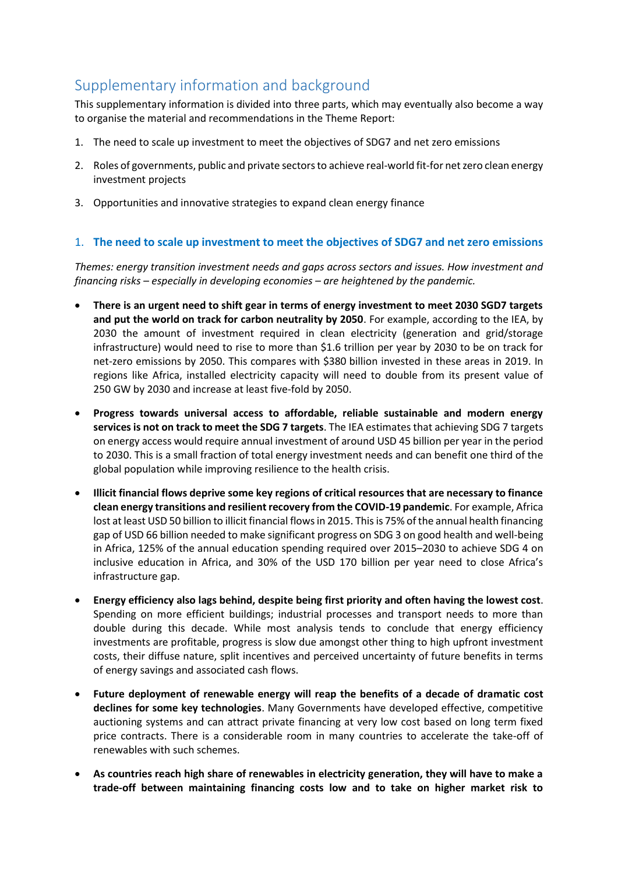# Supplementary information and background

This supplementary information is divided into three parts, which may eventually also become a way to organise the material and recommendations in the Theme Report:

- 1. The need to scale up investment to meet the objectives of SDG7 and net zero emissions
- 2. Roles of governments, public and private sectors to achieve real-world fit-for net zero clean energy investment projects
- 3. Opportunities and innovative strategies to expand clean energy finance

#### 1. **The need to scale up investment to meet the objectives of SDG7 and net zero emissions**

*Themes: energy transition investment needs and gaps across sectors and issues. How investment and financing risks – especially in developing economies – are heightened by the pandemic.*

- **There is an urgent need to shift gear in terms of energy investment to meet 2030 SGD7 targets and put the world on track for carbon neutrality by 2050**. For example, according to the IEA, by 2030 the amount of investment required in clean electricity (generation and grid/storage infrastructure) would need to rise to more than \$1.6 trillion per year by 2030 to be on track for net-zero emissions by 2050. This compares with \$380 billion invested in these areas in 2019. In regions like Africa, installed electricity capacity will need to double from its present value of 250 GW by 2030 and increase at least five-fold by 2050.
- **Progress towards universal access to affordable, reliable sustainable and modern energy services is not on track to meet the SDG 7 targets**. The IEA estimates that achieving SDG 7 targets on energy access would require annual investment of around USD 45 billion per year in the period to 2030. This is a small fraction of total energy investment needs and can benefit one third of the global population while improving resilience to the health crisis.
- **Illicit financial flows deprive some key regions of critical resources that are necessary to finance clean energy transitions and resilient recovery from the COVID-19 pandemic**. For example, Africa lost at least USD 50 billion to illicit financial flows in 2015. This is 75% of the annual health financing gap of USD 66 billion needed to make significant progress on SDG 3 on good health and well-being in Africa, 125% of the annual education spending required over 2015–2030 to achieve SDG 4 on inclusive education in Africa, and 30% of the USD 170 billion per year need to close Africa's infrastructure gap.
- **Energy efficiency also lags behind, despite being first priority and often having the lowest cost**. Spending on more efficient buildings; industrial processes and transport needs to more than double during this decade. While most analysis tends to conclude that energy efficiency investments are profitable, progress is slow due amongst other thing to high upfront investment costs, their diffuse nature, split incentives and perceived uncertainty of future benefits in terms of energy savings and associated cash flows.
- **Future deployment of renewable energy will reap the benefits of a decade of dramatic cost declines for some key technologies**. Many Governments have developed effective, competitive auctioning systems and can attract private financing at very low cost based on long term fixed price contracts. There is a considerable room in many countries to accelerate the take-off of renewables with such schemes.
- **As countries reach high share of renewables in electricity generation, they will have to make a trade-off between maintaining financing costs low and to take on higher market risk to**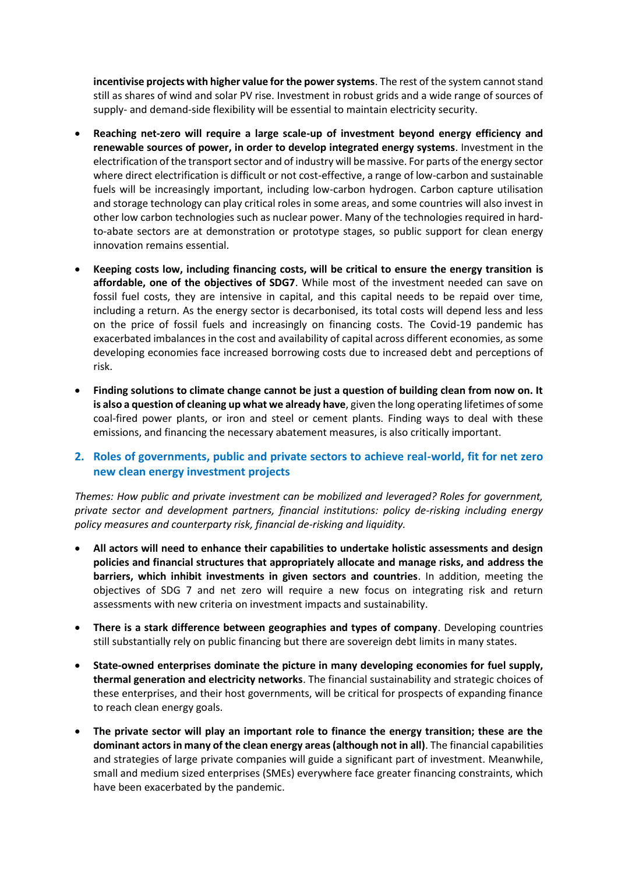**incentivise projects with higher value for the power systems**. The rest of the system cannot stand still as shares of wind and solar PV rise. Investment in robust grids and a wide range of sources of supply- and demand-side flexibility will be essential to maintain electricity security.

- **Reaching net-zero will require a large scale-up of investment beyond energy efficiency and renewable sources of power, in order to develop integrated energy systems**. Investment in the electrification of the transport sector and of industry will be massive. For parts of the energy sector where direct electrification is difficult or not cost-effective, a range of low-carbon and sustainable fuels will be increasingly important, including low-carbon hydrogen. Carbon capture utilisation and storage technology can play critical roles in some areas, and some countries will also invest in other low carbon technologies such as nuclear power. Many of the technologies required in hardto-abate sectors are at demonstration or prototype stages, so public support for clean energy innovation remains essential.
- **Keeping costs low, including financing costs, will be critical to ensure the energy transition is affordable, one of the objectives of SDG7**. While most of the investment needed can save on fossil fuel costs, they are intensive in capital, and this capital needs to be repaid over time, including a return. As the energy sector is decarbonised, its total costs will depend less and less on the price of fossil fuels and increasingly on financing costs. The Covid-19 pandemic has exacerbated imbalances in the cost and availability of capital across different economies, as some developing economies face increased borrowing costs due to increased debt and perceptions of risk.
- **Finding solutions to climate change cannot be just a question of building clean from now on. It is also a question of cleaning up what we already have**, given the long operating lifetimes of some coal-fired power plants, or iron and steel or cement plants. Finding ways to deal with these emissions, and financing the necessary abatement measures, is also critically important.
- **2. Roles of governments, public and private sectors to achieve real-world, fit for net zero new clean energy investment projects**

*Themes: How public and private investment can be mobilized and leveraged? Roles for government, private sector and development partners, financial institutions: policy de-risking including energy policy measures and counterparty risk, financial de-risking and liquidity.*

- **All actors will need to enhance their capabilities to undertake holistic assessments and design policies and financial structures that appropriately allocate and manage risks, and address the barriers, which inhibit investments in given sectors and countries**. In addition, meeting the objectives of SDG 7 and net zero will require a new focus on integrating risk and return assessments with new criteria on investment impacts and sustainability.
- **There is a stark difference between geographies and types of company**. Developing countries still substantially rely on public financing but there are sovereign debt limits in many states.
- **State-owned enterprises dominate the picture in many developing economies for fuel supply, thermal generation and electricity networks**. The financial sustainability and strategic choices of these enterprises, and their host governments, will be critical for prospects of expanding finance to reach clean energy goals.
- **The private sector will play an important role to finance the energy transition; these are the dominant actors in many of the clean energy areas (although not in all)**. The financial capabilities and strategies of large private companies will guide a significant part of investment. Meanwhile, small and medium sized enterprises (SMEs) everywhere face greater financing constraints, which have been exacerbated by the pandemic.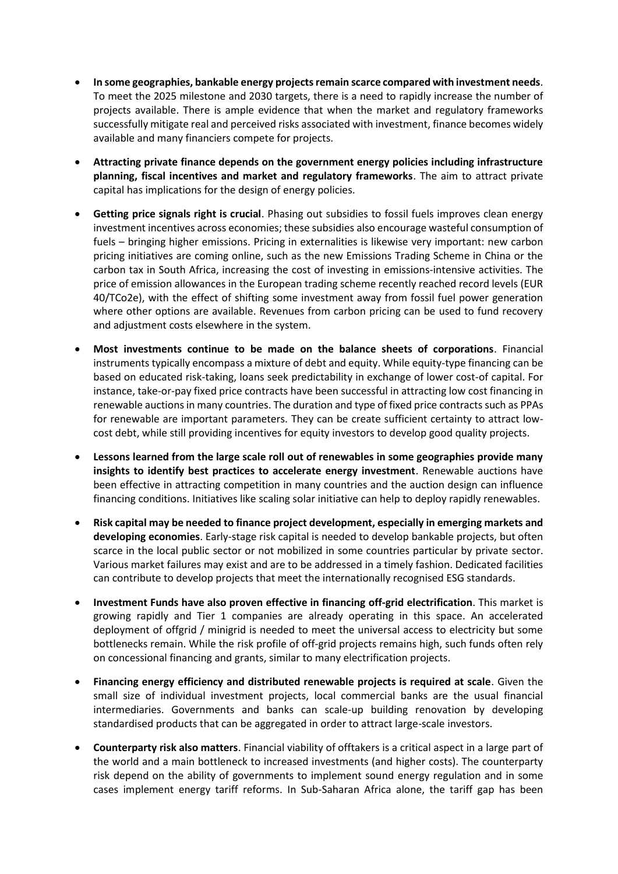- **In some geographies, bankable energy projects remain scarce compared with investment needs**. To meet the 2025 milestone and 2030 targets, there is a need to rapidly increase the number of projects available. There is ample evidence that when the market and regulatory frameworks successfully mitigate real and perceived risks associated with investment, finance becomes widely available and many financiers compete for projects.
- **Attracting private finance depends on the government energy policies including infrastructure planning, fiscal incentives and market and regulatory frameworks**. The aim to attract private capital has implications for the design of energy policies.
- **Getting price signals right is crucial**. Phasing out subsidies to fossil fuels improves clean energy investment incentives across economies; these subsidies also encourage wasteful consumption of fuels – bringing higher emissions. Pricing in externalities is likewise very important: new carbon pricing initiatives are coming online, such as the new Emissions Trading Scheme in China or the carbon tax in South Africa, increasing the cost of investing in emissions-intensive activities. The price of emission allowances in the European trading scheme recently reached record levels (EUR 40/TCo2e), with the effect of shifting some investment away from fossil fuel power generation where other options are available. Revenues from carbon pricing can be used to fund recovery and adjustment costs elsewhere in the system.
- **Most investments continue to be made on the balance sheets of corporations**. Financial instruments typically encompass a mixture of debt and equity. While equity-type financing can be based on educated risk-taking, loans seek predictability in exchange of lower cost-of capital. For instance, take-or-pay fixed price contracts have been successful in attracting low cost financing in renewable auctions in many countries. The duration and type of fixed price contracts such as PPAs for renewable are important parameters. They can be create sufficient certainty to attract lowcost debt, while still providing incentives for equity investors to develop good quality projects.
- **Lessons learned from the large scale roll out of renewables in some geographies provide many insights to identify best practices to accelerate energy investment**. Renewable auctions have been effective in attracting competition in many countries and the auction design can influence financing conditions. Initiatives like scaling solar initiative can help to deploy rapidly renewables.
- **Risk capital may be needed to finance project development, especially in emerging markets and developing economies**. Early-stage risk capital is needed to develop bankable projects, but often scarce in the local public sector or not mobilized in some countries particular by private sector. Various market failures may exist and are to be addressed in a timely fashion. Dedicated facilities can contribute to develop projects that meet the internationally recognised ESG standards.
- **Investment Funds have also proven effective in financing off-grid electrification**. This market is growing rapidly and Tier 1 companies are already operating in this space. An accelerated deployment of offgrid / minigrid is needed to meet the universal access to electricity but some bottlenecks remain. While the risk profile of off-grid projects remains high, such funds often rely on concessional financing and grants, similar to many electrification projects.
- **Financing energy efficiency and distributed renewable projects is required at scale**. Given the small size of individual investment projects, local commercial banks are the usual financial intermediaries. Governments and banks can scale-up building renovation by developing standardised products that can be aggregated in order to attract large-scale investors.
- **Counterparty risk also matters**. Financial viability of offtakers is a critical aspect in a large part of the world and a main bottleneck to increased investments (and higher costs). The counterparty risk depend on the ability of governments to implement sound energy regulation and in some cases implement energy tariff reforms. In Sub-Saharan Africa alone, the tariff gap has been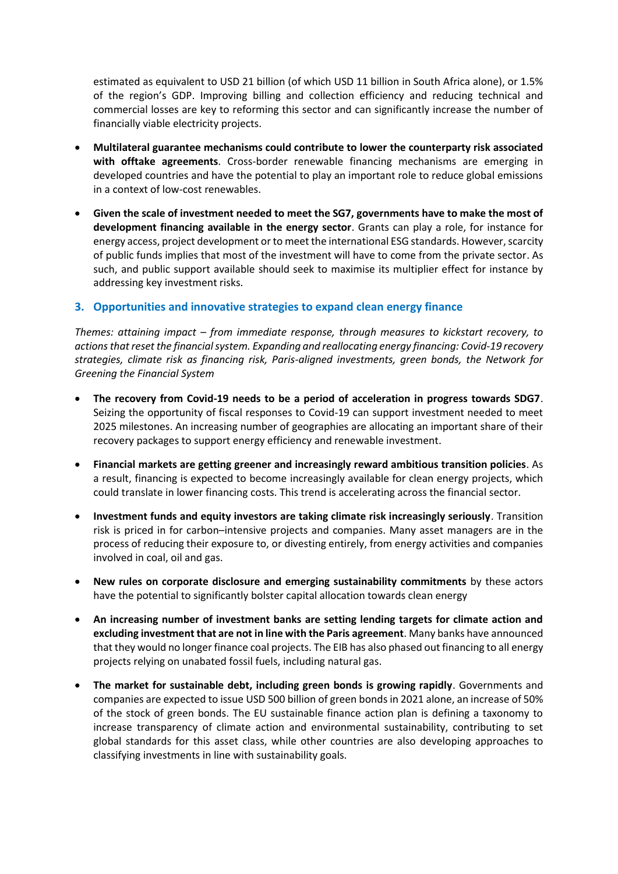estimated as equivalent to USD 21 billion (of which USD 11 billion in South Africa alone), or 1.5% of the region's GDP. Improving billing and collection efficiency and reducing technical and commercial losses are key to reforming this sector and can significantly increase the number of financially viable electricity projects.

- **Multilateral guarantee mechanisms could contribute to lower the counterparty risk associated with offtake agreements**. Cross-border renewable financing mechanisms are emerging in developed countries and have the potential to play an important role to reduce global emissions in a context of low-cost renewables.
- **Given the scale of investment needed to meet the SG7, governments have to make the most of development financing available in the energy sector**. Grants can play a role, for instance for energy access, project development or to meet the international ESG standards. However, scarcity of public funds implies that most of the investment will have to come from the private sector. As such, and public support available should seek to maximise its multiplier effect for instance by addressing key investment risks.

### **3. Opportunities and innovative strategies to expand clean energy finance**

*Themes: attaining impact – from immediate response, through measures to kickstart recovery, to actions that reset the financial system. Expanding and reallocating energy financing: Covid-19 recovery strategies, climate risk as financing risk, Paris-aligned investments, green bonds, the Network for Greening the Financial System*

- **The recovery from Covid-19 needs to be a period of acceleration in progress towards SDG7**. Seizing the opportunity of fiscal responses to Covid-19 can support investment needed to meet 2025 milestones. An increasing number of geographies are allocating an important share of their recovery packages to support energy efficiency and renewable investment.
- **Financial markets are getting greener and increasingly reward ambitious transition policies**. As a result, financing is expected to become increasingly available for clean energy projects, which could translate in lower financing costs. This trend is accelerating across the financial sector.
- **Investment funds and equity investors are taking climate risk increasingly seriously**. Transition risk is priced in for carbon–intensive projects and companies. Many asset managers are in the process of reducing their exposure to, or divesting entirely, from energy activities and companies involved in coal, oil and gas.
- **New rules on corporate disclosure and emerging sustainability commitments** by these actors have the potential to significantly bolster capital allocation towards clean energy
- **An increasing number of investment banks are setting lending targets for climate action and excluding investment that are not in line with the Paris agreement**. Many banks have announced that they would no longer finance coal projects. The EIB has also phased out financing to all energy projects relying on unabated fossil fuels, including natural gas.
- **The market for sustainable debt, including green bonds is growing rapidly**. Governments and companies are expected to issue USD 500 billion of green bonds in 2021 alone, an increase of 50% of the stock of green bonds. The EU sustainable finance action plan is defining a taxonomy to increase transparency of climate action and environmental sustainability, contributing to set global standards for this asset class, while other countries are also developing approaches to classifying investments in line with sustainability goals.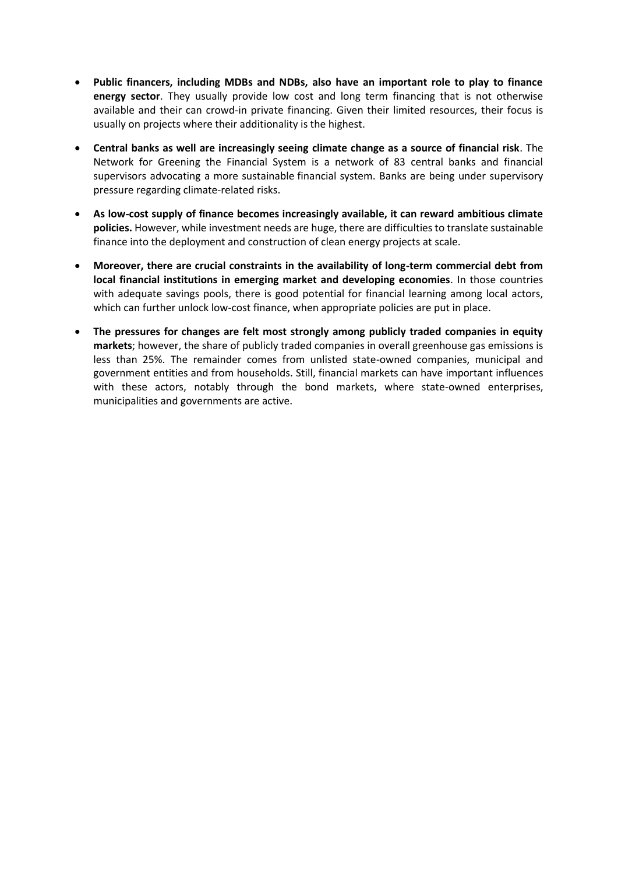- **Public financers, including MDBs and NDBs, also have an important role to play to finance energy sector**. They usually provide low cost and long term financing that is not otherwise available and their can crowd-in private financing. Given their limited resources, their focus is usually on projects where their additionality is the highest.
- **Central banks as well are increasingly seeing climate change as a source of financial risk**. The Network for Greening the Financial System is a network of 83 central banks and financial supervisors advocating a more sustainable financial system. Banks are being under supervisory pressure regarding climate-related risks.
- **As low-cost supply of finance becomes increasingly available, it can reward ambitious climate policies.** However, while investment needs are huge, there are difficulties to translate sustainable finance into the deployment and construction of clean energy projects at scale.
- **Moreover, there are crucial constraints in the availability of long-term commercial debt from local financial institutions in emerging market and developing economies**. In those countries with adequate savings pools, there is good potential for financial learning among local actors, which can further unlock low-cost finance, when appropriate policies are put in place.
- **The pressures for changes are felt most strongly among publicly traded companies in equity markets**; however, the share of publicly traded companies in overall greenhouse gas emissions is less than 25%. The remainder comes from unlisted state-owned companies, municipal and government entities and from households. Still, financial markets can have important influences with these actors, notably through the bond markets, where state-owned enterprises, municipalities and governments are active.